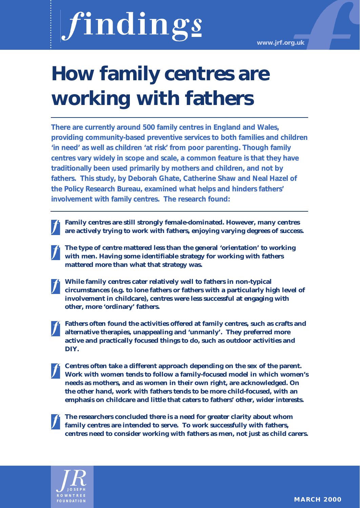# findings

**www.jrf.org.uk**

# **How family centres are working with fathers**

**There are currently around 500 family centres in England and Wales, providing community-based preventive services to both families and children 'in need' as well as children 'at risk' from poor parenting. Though family centres vary widely in scope and scale, a common feature is that they have traditionally been used primarily by mothers and children, and not by fathers. This study, by Deborah Ghate, Catherine Shaw and Neal Hazel of the Policy Research Bureau, examined what helps and hinders fathers' involvement with family centres. The research found:**

- **Family centres are still strongly female-dominated. However, many centres are actively trying to work with fathers, enjoying varying degrees of success.**
- **The type of centre mattered less than the general 'orientation' to working with men. Having some identifiable strategy for working with fathers mattered more than what that strategy was.**
- **While family centres cater relatively well to fathers in non-typical circumstances (e.g. to lone fathers or fathers with a particularly high level of involvement in childcare), centres were less successful at engaging with other, more 'ordinary' fathers.**
- **Fathers often found the activities offered at family centres, such as crafts and alternative therapies, unappealing and 'unmanly'. They preferred more active and practically focused things to do, such as outdoor activities and DIY.**
- **Centres often take a different approach depending on the sex of the parent. Work with women tends to follow a family-focused model in which women's needs as mothers, and as women in their own right, are acknowledged. On the other hand, work with fathers tends to be more child-focused, with an emphasis on childcare and little that caters to fathers' other, wider interests.**
	- **The researchers concluded there is a need for greater clarity about whom family centres are intended to serve. To work successfully with fathers, centres need to consider working with fathers as men, not just as child carers.**

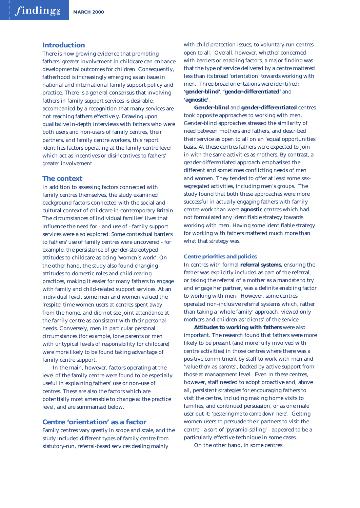## **Introduction**

There is now growing evidence that promoting fathers' greater involvement in childcare can enhance developmental outcomes for children. Consequently, fatherhood is increasingly emerging as an issue in national and international family support policy and practice. There is a general consensus that involving fathers in family support services is desirable, accompanied by a recognition that many services are not reaching fathers effectively. Drawing upon qualitative in-depth interviews with fathers who were both users and non-users of family centres, their partners, and family centre workers, this report identifies factors operating at the family centre level which act as incentives or disincentives to fathers' greater involvement.

# **The context**

In addition to assessing factors connected with family centres themselves, the study examined background factors connected with the social and cultural context of childcare in contemporary Britain. The circumstances of individual families' lives that influence the need for - and use of - family support services were also explored. Some contextual barriers to fathers' use of family centres were uncovered - for example, the persistence of gender-stereotyped attitudes to childcare as being 'women's work'. On the other hand, the study also found changing attitudes to domestic roles and child-rearing practices, making it easier for many fathers to engage with family and child-related support services. At an individual level, some men and women valued the 'respite' time women users at centres spent away from the home, and did not see joint attendance at the family centre as consistent with their personal needs. Conversely, men in particular personal circumstances (for example, lone parents or men with untypical levels of responsibility for childcare) were more likely to be found taking advantage of family centre support.

In the main, however, factors operating at the level of the family centre were found to be especially useful in explaining fathers' use or non-use of centres. These are also the factors which are potentially most amenable to change at the practice level, and are summarised below.

# **Centre 'orientation' as a factor**

Family centres vary greatly in scope and scale, and the study included different types of family centre from statutory-run, referral-based services dealing mainly

with child protection issues, to voluntary-run centres open to all. Overall, however, whether concerned with barriers or enabling factors, a major finding was that the type of service delivered by a centre mattered less than its broad 'orientation' towards working with men. Three broad orientations were identified: **'gender-blind'**, **'gender-differentiated'** and **'agnostic'**.

**Gender-blind** and **gender-differentiated** centres took opposite approaches to working with men. Gender-blind approaches stressed the similarity of need between mothers and fathers, and described their service as open to all on an 'equal opportunities' basis. At these centres fathers were expected to join in with the same activities as mothers. By contrast, a gender-differentiated approach emphasised the different and sometimes conflicting needs of men and women. They tended to offer at least some sexsegregated activities, including men's groups. The study found that both these approaches were more successful in actually engaging fathers with family centre work than were **agnostic** centres which had not formulated any identifiable strategy towards working with men. Having some identifiable strategy for working with fathers mattered much more than what that strategy was.

#### *Centre priorities and policies*

In centres with formal **referral systems**, ensuring the father was explicitly included as part of the referral, or taking the referral of a mother as a mandate to try and engage her partner, was a definite enabling factor to working with men. However, some centres operated non-inclusive referral systems which, rather than taking a 'whole family' approach, viewed only mothers and children as 'clients' of the service.

**Attitudes to working with fathers** were also important. The research found that fathers were more likely to be present (and more fully involved with centre activities) in those centres where there was a positive commitment by staff to work with men and *'value them as parents'*, backed by active support from those at management level. Even in these centres, however, staff needed to adopt proactive and, above all, persistent strategies for encouraging fathers to visit the centre, including making home visits to families, and continued persuasion, or as one male user put it: *'pestering me to come down here'.* Getting women users to persuade their partners to visit the centre - a sort of 'pyramid-selling' - appeared to be a particularly effective technique in some cases.

On the other hand, in some centres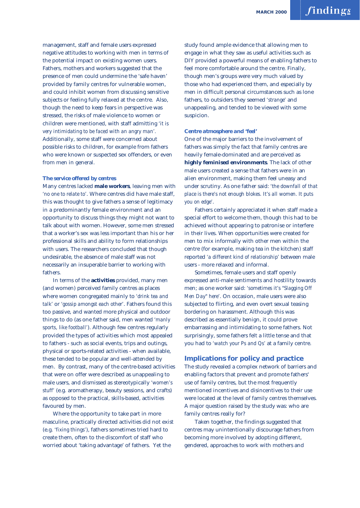management, staff and female users expressed negative attitudes to working with men in terms of the potential impact on existing women users. Fathers, mothers and workers suggested that the presence of men could undermine the 'safe haven' provided by family centres for vulnerable women, and could inhibit women from discussing sensitive subjects or feeling fully relaxed at the centre. Also, though the need to keep fears in perspective was stressed, the risks of male violence to women or children were mentioned, with staff admitting *'it is very intimidating to be faced with an angry man'.* Additionally, some staff were concerned about possible risks to children, for example from fathers who were known or suspected sex offenders, or even from men in general.

## *The service offered by centres*

Many centres lacked **male workers**, leaving men with *'no one to relate to'*. Where centres did have male staff, this was thought to give fathers a sense of legitimacy in a predominantly female environment and an opportunity to discuss things they might not want to talk about with women. However, some men stressed that a worker's sex was less important than his or her professional skills and ability to form relationships with users. The researchers concluded that though undesirable, the absence of male staff was not necessarily an insuperable barrier to working with fathers.

In terms of the **activities** provided, many men (and women) perceived family centres as places where women congregated mainly to *'drink tea and talk'* or *'gossip amongst each other'*. Fathers found this too passive, and wanted more physical and outdoor things to do (as one father said, men wanted *'manly sports, like football'*). Although few centres regularly provided the types of activities which most appealed to fathers - such as social events, trips and outings, physical or sports-related activities - when available, these tended to be popular and well-attended by men. By contrast, many of the centre-based activities that were on offer were described as unappealing to male users, and dismissed as stereotypically *'women's stuff'* (e.g. aromatherapy, beauty sessions, and crafts) as opposed to the practical, skills-based, activities favoured by men.

Where the opportunity to take part in more masculine, practically directed activities did not exist (e.g. *'fixing things'*), fathers sometimes tried hard to create them, often to the discomfort of staff who worried about 'taking advantage' of fathers. Yet the

study found ample evidence that allowing men to engage in what they saw as useful activities such as DIY provided a powerful means of enabling fathers to feel more comfortable around the centre. Finally, though men's groups were very much valued by those who had experienced them, and especially by men in difficult personal circumstances such as lone fathers, to outsiders they seemed *'strange'* and unappealing, and tended to be viewed with some suspicion.

#### *Centre atmosphere and 'feel'*

One of the major barriers to the involvement of fathers was simply the fact that family centres are heavily female-dominated and are perceived as **highly feminised environments**. The lack of other male users created a sense that fathers were in an alien environment, making them feel uneasy and under scrutiny. As one father said: *'the downfall of that place is there's not enough blokes. It's all women. It puts you on edge'*.

Fathers certainly appreciated it when staff made a special effort to welcome them, though this had to be achieved without appearing to patronise or interfere in their lives. When opportunities were created for men to mix informally with other men within the centre (for example, making tea in the kitchen) staff reported *'a different kind of relationship'* between male users - more relaxed and informal.

Sometimes, female users and staff openly expressed anti-male sentiments and hostility towards men; as one worker said: *'sometimes it's "Slagging Off Men Day" here'*. On occasion, male users were also subjected to flirting, and even overt sexual teasing bordering on harassment. Although this was described as essentially benign, it could prove embarrassing and intimidating to some fathers. Not surprisingly, some fathers felt a little tense and that you had to *'watch your Ps and Qs'* at a family centre.

# **Implications for policy and practice**

The study revealed a complex network of barriers and enabling factors that prevent and promote fathers' use of family centres, but the most frequently mentioned incentives and disincentives to their use were located at the level of family centres themselves. A major question raised by the study was: who are family centres really for?

Taken together, the findings suggested that centres may unintentionally discourage fathers from becoming more involved by adopting different, gendered, approaches to work with mothers and